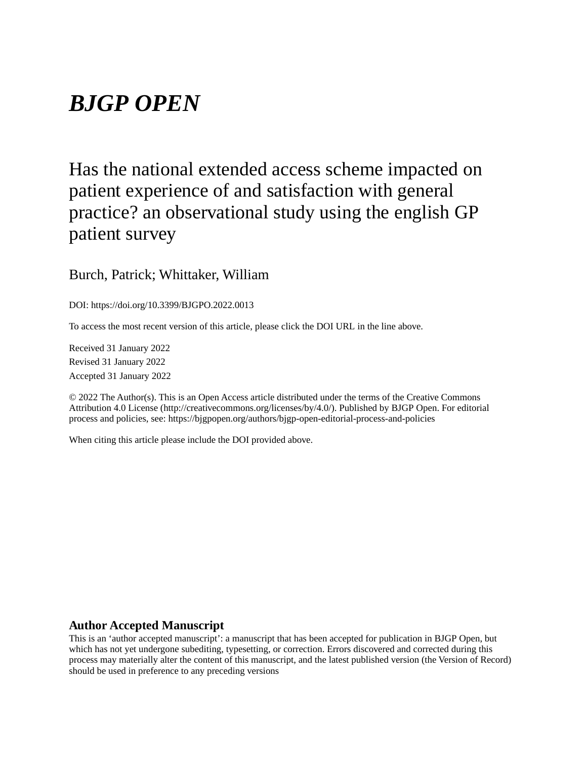# *BJGP OPEN*

## Has the national extended access scheme impacted on patient experience of and satisfaction with general practice? an observational study using the english GP patient survey

Burch, Patrick; Whittaker, William

DOI: https://doi.org/10.3399/BJGPO.2022.0013

To access the most recent version of this article, please click the DOI URL in the line above.

Received 31 January 2022 Revised 31 January 2022 Accepted 31 January 2022

© 2022 The Author(s). This is an Open Access article distributed under the terms of the Creative Commons Attribution 4.0 License (http://creativecommons.org/licenses/by/4.0/). Published by BJGP Open. For editorial process and policies, see: https://bjgpopen.org/authors/bjgp-open-editorial-process-and-policies

When citing this article please include the DOI provided above.

#### **Author Accepted Manuscript**

This is an 'author accepted manuscript': a manuscript that has been accepted for publication in BJGP Open, but which has not yet undergone subediting, typesetting, or correction. Errors discovered and corrected during this process may materially alter the content of this manuscript, and the latest published version (the Version of Record) should be used in preference to any preceding versions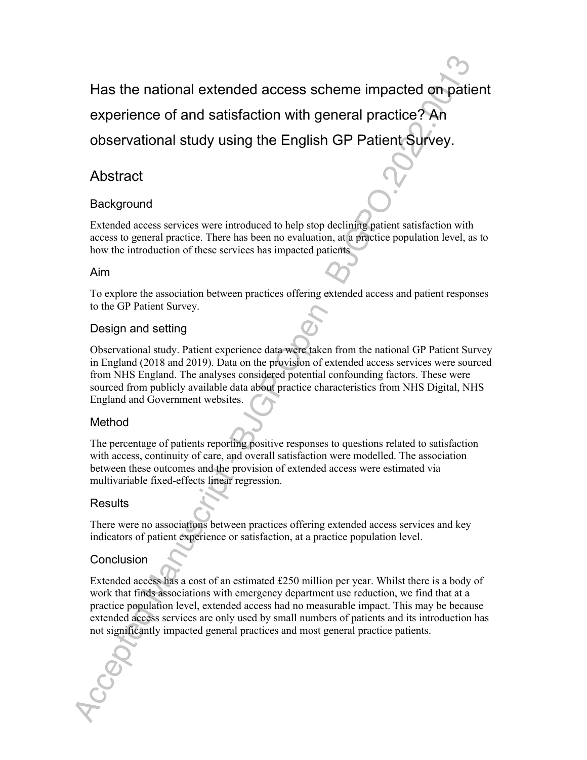Has the national extended access scheme impacted on patient experience of and satisfaction with general practice? An observational study using the English GP Patient Survey.

#### **Abstract**

#### **Background**

Extended access services were introduced to help stop declining patient satisfaction with access to general practice. There has been no evaluation, at a practice population level, as to how the introduction of these services has impacted patients

#### Aim

To explore the association between practices offering extended access and patient responses to the GP Patient Survey.

#### Design and setting

Observational study. Patient experience data were taken from the national GP Patient Survey in England (2018 and 2019). Data on the provision of extended access services were sourced from NHS England. The analyses considered potential confounding factors. These were sourced from publicly available data about practice characteristics from NHS Digital, NHS England and Government websites.

#### Method

The percentage of patients reporting positive responses to questions related to satisfaction with access, continuity of care, and overall satisfaction were modelled. The association between these outcomes and the provision of extended access were estimated via multivariable fixed-effects linear regression.

#### Results

There were no associations between practices offering extended access services and key indicators of patient experience or satisfaction, at a practice population level.

#### **Conclusion**

Extended access has a cost of an estimated £250 million per year. Whilst there is a body of work that finds associations with emergency department use reduction, we find that at a practice population level, extended access had no measurable impact. This may be because extended access services are only used by small numbers of patients and its introduction has not significantly impacted general practices and most general practice patients.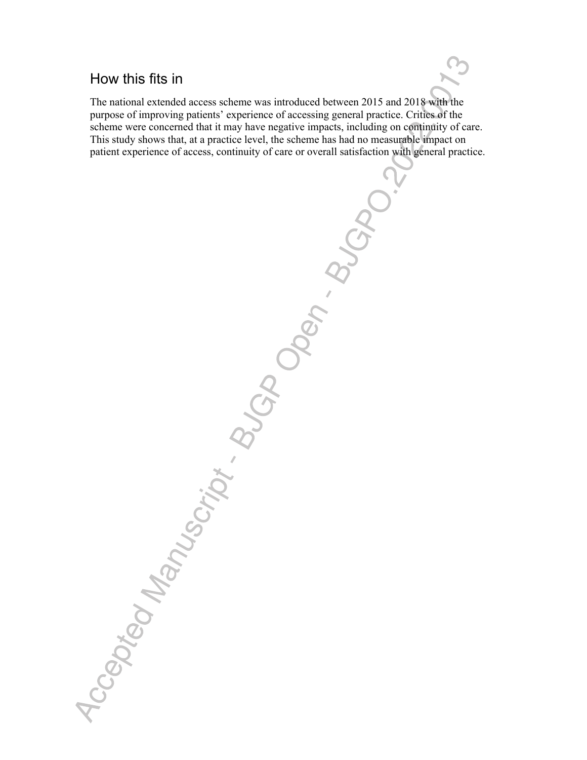### How this fits in

The national extended access scheme was introduced between 2015 and 2018 with the purpose of improving patients' experience of accessing general practice. Critics of the scheme were concerned that it may have negative impacts, including on continuity of care. This study shows that, at a practice level, the scheme has had no measurable impact on patient experience of access, continuity of care or overall satisfaction with general practice.

Accepted Manuscript BUGAD OPEN . BUGADC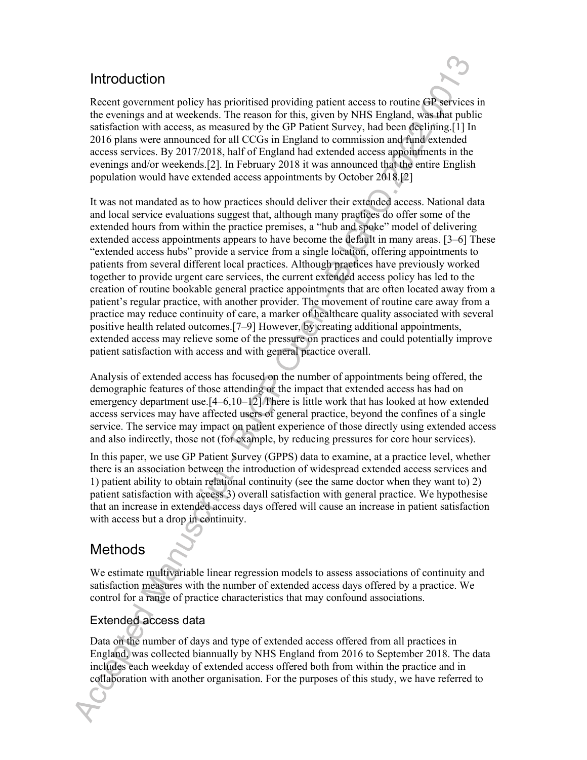### Introduction

Recent government policy has prioritised providing patient access to routine GP services in the evenings and at weekends. The reason for this, given by NHS England, was that public satisfaction with access, as measured by the GP Patient Survey, had been declining.[1] In 2016 plans were announced for all CCGs in England to commission and fund extended access services. By 2017/2018, half of England had extended access appointments in the evenings and/or weekends.[2]. In February 2018 it was announced that the entire English population would have extended access appointments by October 2018.[2]

It was not mandated as to how practices should deliver their extended access. National data and local service evaluations suggest that, although many practices do offer some of the extended hours from within the practice premises, a "hub and spoke" model of delivering extended access appointments appears to have become the default in many areas. [3–6] These "extended access hubs" provide a service from a single location, offering appointments to patients from several different local practices. Although practices have previously worked together to provide urgent care services, the current extended access policy has led to the creation of routine bookable general practice appointments that are often located away from a patient's regular practice, with another provider. The movement of routine care away from a practice may reduce continuity of care, a marker of healthcare quality associated with several positive health related outcomes.[7–9] However, by creating additional appointments, extended access may relieve some of the pressure on practices and could potentially improve patient satisfaction with access and with general practice overall.

Analysis of extended access has focused on the number of appointments being offered, the demographic features of those attending or the impact that extended access has had on emergency department use.[4–6,10–12] There is little work that has looked at how extended access services may have affected users of general practice, beyond the confines of a single service. The service may impact on patient experience of those directly using extended access and also indirectly, those not (for example, by reducing pressures for core hour services).

In this paper, we use GP Patient Survey (GPPS) data to examine, at a practice level, whether there is an association between the introduction of widespread extended access services and 1) patient ability to obtain relational continuity (see the same doctor when they want to) 2) patient satisfaction with access 3) overall satisfaction with general practice. We hypothesise that an increase in extended access days offered will cause an increase in patient satisfaction with access but a drop in continuity.

### **Methods**

We estimate multivariable linear regression models to assess associations of continuity and satisfaction measures with the number of extended access days offered by a practice. We control for a range of practice characteristics that may confound associations.

#### Extended access data

Data on the number of days and type of extended access offered from all practices in England, was collected biannually by NHS England from 2016 to September 2018. The data includes each weekday of extended access offered both from within the practice and in collaboration with another organisation. For the purposes of this study, we have referred to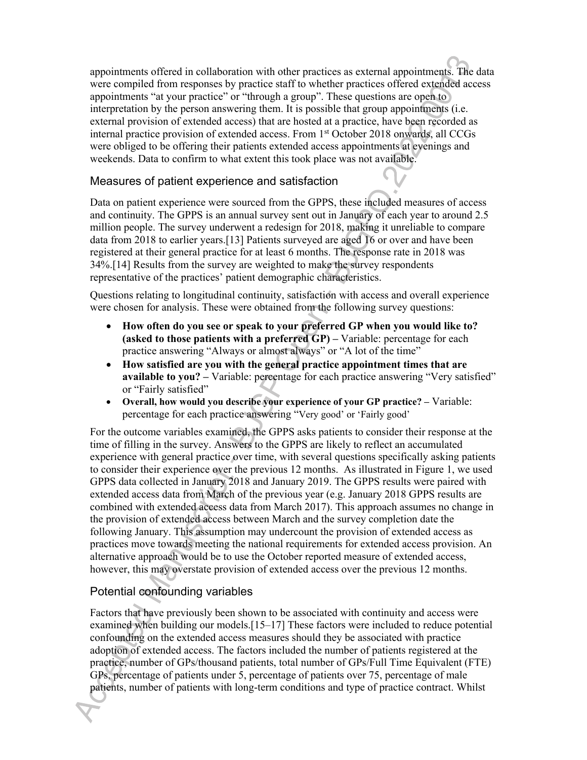appointments offered in collaboration with other practices as external appointments. The data were compiled from responses by practice staff to whether practices offered extended access appointments "at your practice" or "through a group". These questions are open to interpretation by the person answering them. It is possible that group appointments (i.e. external provision of extended access) that are hosted at a practice, have been recorded as internal practice provision of extended access. From 1st October 2018 onwards, all CCGs were obliged to be offering their patients extended access appointments at evenings and weekends. Data to confirm to what extent this took place was not available.

#### Measures of patient experience and satisfaction

Data on patient experience were sourced from the GPPS, these included measures of access and continuity. The GPPS is an annual survey sent out in January of each year to around 2.5 million people. The survey underwent a redesign for 2018, making it unreliable to compare data from 2018 to earlier years.[13] Patients surveyed are aged 16 or over and have been registered at their general practice for at least 6 months. The response rate in 2018 was 34%.[14] Results from the survey are weighted to make the survey respondents representative of the practices' patient demographic characteristics.

Questions relating to longitudinal continuity, satisfaction with access and overall experience were chosen for analysis. These were obtained from the following survey questions:

- **How often do you see or speak to your preferred GP when you would like to? (asked to those patients with a preferred GP) –** Variable: percentage for each practice answering "Always or almost always" or "A lot of the time"
- **How satisfied are you with the general practice appointment times that are available to you?** – Variable: percentage for each practice answering "Very satisfied" or "Fairly satisfied"
- **Overall, how would you describe your experience of your GP practice? –** Variable: percentage for each practice answering "Very good' or 'Fairly good'

For the outcome variables examined, the GPPS asks patients to consider their response at the time of filling in the survey. Answers to the GPPS are likely to reflect an accumulated experience with general practice over time, with several questions specifically asking patients to consider their experience over the previous 12 months. As illustrated in Figure 1, we used GPPS data collected in January 2018 and January 2019. The GPPS results were paired with extended access data from March of the previous year (e.g. January 2018 GPPS results are combined with extended access data from March 2017). This approach assumes no change in the provision of extended access between March and the survey completion date the following January. This assumption may undercount the provision of extended access as practices move towards meeting the national requirements for extended access provision. An alternative approach would be to use the October reported measure of extended access, however, this may overstate provision of extended access over the previous 12 months.

#### Potential confounding variables

Factors that have previously been shown to be associated with continuity and access were examined when building our models.[15–17] These factors were included to reduce potential confounding on the extended access measures should they be associated with practice adoption of extended access. The factors included the number of patients registered at the practice, number of GPs/thousand patients, total number of GPs/Full Time Equivalent (FTE) GPs, percentage of patients under 5, percentage of patients over 75, percentage of male patients, number of patients with long-term conditions and type of practice contract. Whilst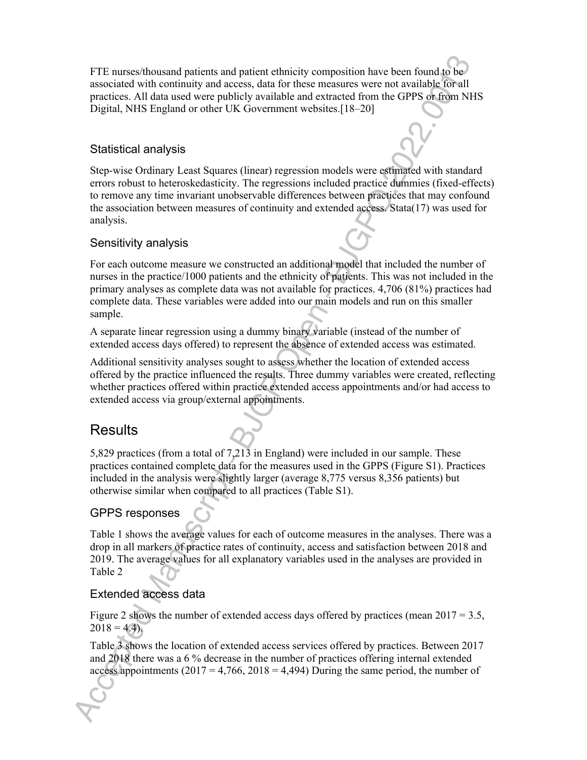FTE nurses/thousand patients and patient ethnicity composition have been found to be associated with continuity and access, data for these measures were not available for all practices. All data used were publicly available and extracted from the GPPS or from NHS Digital, NHS England or other UK Government websites.[18–20]

#### Statistical analysis

Step-wise Ordinary Least Squares (linear) regression models were estimated with standard errors robust to heteroskedasticity. The regressions included practice dummies (fixed-effects) to remove any time invariant unobservable differences between practices that may confound the association between measures of continuity and extended access. Stata(17) was used for analysis.

#### Sensitivity analysis

For each outcome measure we constructed an additional model that included the number of nurses in the practice/1000 patients and the ethnicity of patients. This was not included in the primary analyses as complete data was not available for practices. 4,706 (81%) practices had complete data. These variables were added into our main models and run on this smaller sample.

A separate linear regression using a dummy binary variable (instead of the number of extended access days offered) to represent the absence of extended access was estimated.

Additional sensitivity analyses sought to assess whether the location of extended access offered by the practice influenced the results. Three dummy variables were created, reflecting whether practices offered within practice extended access appointments and/or had access to extended access via group/external appointments.

### **Results**

5,829 practices (from a total of 7,213 in England) were included in our sample. These practices contained complete data for the measures used in the GPPS (Figure S1). Practices included in the analysis were slightly larger (average 8,775 versus 8,356 patients) but otherwise similar when compared to all practices (Table S1).

#### GPPS responses

Table 1 shows the average values for each of outcome measures in the analyses. There was a drop in all markers of practice rates of continuity, access and satisfaction between 2018 and 2019. The average values for all explanatory variables used in the analyses are provided in Table 2

#### Extended access data

Figure 2 shows the number of extended access days offered by practices (mean  $2017 = 3.5$ ,  $2018 = 4.4$ ).

Table 3 shows the location of extended access services offered by practices. Between 2017 and 2018 there was a 6 % decrease in the number of practices offering internal extended access appointments  $(2017 = 4,766, 2018 = 4,494)$  During the same period, the number of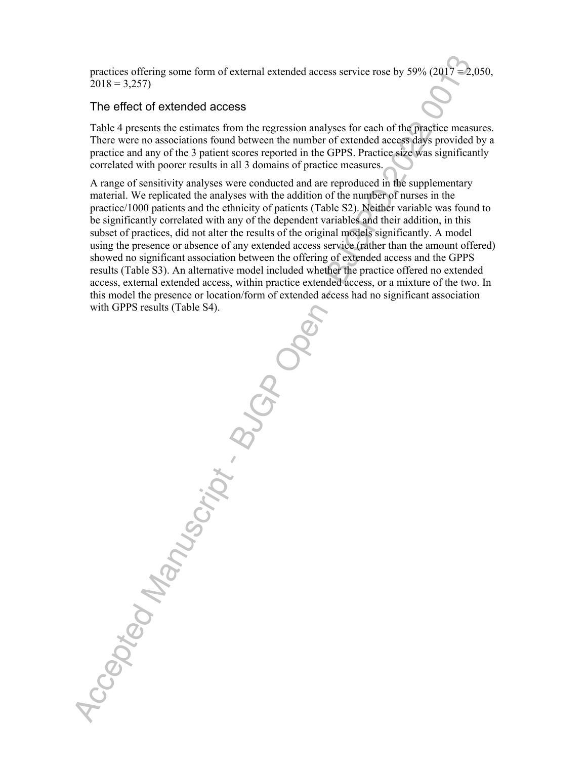practices offering some form of external extended access service rose by 59% (2017 = 2,050,  $2018 = 3,257$ 

#### The effect of extended access

Table 4 presents the estimates from the regression analyses for each of the practice measures. There were no associations found between the number of extended access days provided by a practice and any of the 3 patient scores reported in the GPPS. Practice size was significantly correlated with poorer results in all 3 domains of practice measures.

A range of sensitivity analyses were conducted and are reproduced in the supplementary material. We replicated the analyses with the addition of the number of nurses in the practice/1000 patients and the ethnicity of patients (Table S2). Neither variable was found to be significantly correlated with any of the dependent variables and their addition, in this subset of practices, did not alter the results of the original models significantly. A model using the presence or absence of any extended access service (rather than the amount offered) showed no significant association between the offering of extended access and the GPPS results (Table S3). An alternative model included whether the practice offered no extended access, external extended access, within practice extended access, or a mixture of the two. In this model the presence or location/form of extended access had no significant association with GPPS results (Table S4).

Accepted Manuscript B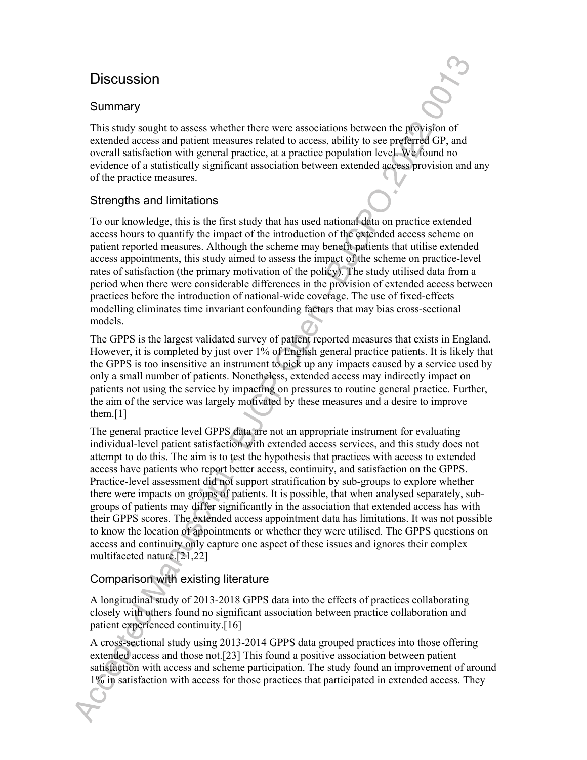### **Discussion**

#### **Summary**

This study sought to assess whether there were associations between the provision of extended access and patient measures related to access, ability to see preferred GP, and overall satisfaction with general practice, at a practice population level. We found no evidence of a statistically significant association between extended access provision and any of the practice measures.

#### Strengths and limitations

To our knowledge, this is the first study that has used national data on practice extended access hours to quantify the impact of the introduction of the extended access scheme on patient reported measures. Although the scheme may benefit patients that utilise extended access appointments, this study aimed to assess the impact of the scheme on practice-level rates of satisfaction (the primary motivation of the policy). The study utilised data from a period when there were considerable differences in the provision of extended access between practices before the introduction of national-wide coverage. The use of fixed-effects modelling eliminates time invariant confounding factors that may bias cross-sectional models.

The GPPS is the largest validated survey of patient reported measures that exists in England. However, it is completed by just over 1% of English general practice patients. It is likely that the GPPS is too insensitive an instrument to pick up any impacts caused by a service used by only a small number of patients. Nonetheless, extended access may indirectly impact on patients not using the service by impacting on pressures to routine general practice. Further, the aim of the service was largely motivated by these measures and a desire to improve them.[1]

The general practice level GPPS data are not an appropriate instrument for evaluating individual-level patient satisfaction with extended access services, and this study does not attempt to do this. The aim is to test the hypothesis that practices with access to extended access have patients who report better access, continuity, and satisfaction on the GPPS. Practice-level assessment did not support stratification by sub-groups to explore whether there were impacts on groups of patients. It is possible, that when analysed separately, subgroups of patients may differ significantly in the association that extended access has with their GPPS scores. The extended access appointment data has limitations. It was not possible to know the location of appointments or whether they were utilised. The GPPS questions on access and continuity only capture one aspect of these issues and ignores their complex multifaceted nature.[21,22]

#### Comparison with existing literature

A longitudinal study of 2013-2018 GPPS data into the effects of practices collaborating closely with others found no significant association between practice collaboration and patient experienced continuity.[16]

A cross-sectional study using 2013-2014 GPPS data grouped practices into those offering extended access and those not.[23] This found a positive association between patient satisfaction with access and scheme participation. The study found an improvement of around 1% in satisfaction with access for those practices that participated in extended access. They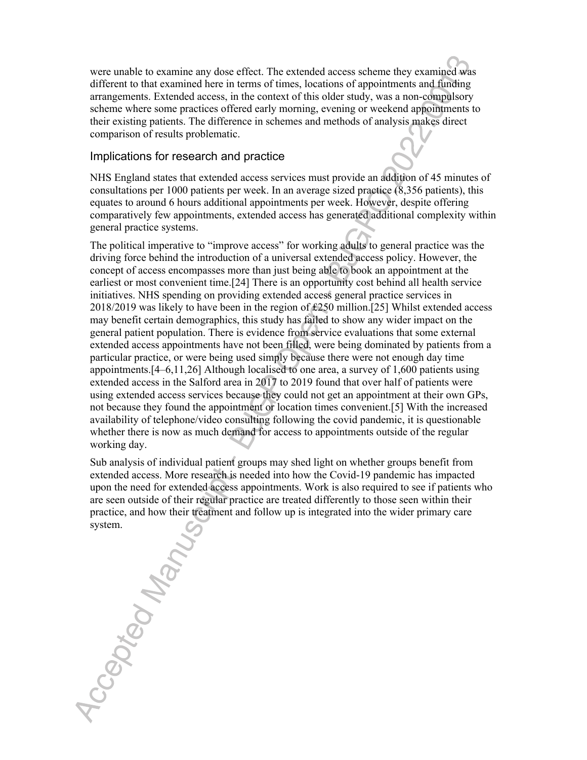were unable to examine any dose effect. The extended access scheme they examined was different to that examined here in terms of times, locations of appointments and funding arrangements. Extended access, in the context of this older study, was a non-compulsory scheme where some practices offered early morning, evening or weekend appointments to their existing patients. The difference in schemes and methods of analysis makes direct comparison of results problematic.

#### Implications for research and practice

NHS England states that extended access services must provide an addition of 45 minutes of consultations per 1000 patients per week. In an average sized practice (8,356 patients), this equates to around 6 hours additional appointments per week. However, despite offering comparatively few appointments, extended access has generated additional complexity within general practice systems.

The political imperative to "improve access" for working adults to general practice was the driving force behind the introduction of a universal extended access policy. However, the concept of access encompasses more than just being able to book an appointment at the earliest or most convenient time.[24] There is an opportunity cost behind all health service initiatives. NHS spending on providing extended access general practice services in 2018/2019 was likely to have been in the region of £250 million.[25] Whilst extended access may benefit certain demographics, this study has failed to show any wider impact on the general patient population. There is evidence from service evaluations that some external extended access appointments have not been filled, were being dominated by patients from a particular practice, or were being used simply because there were not enough day time appointments.[4–6,11,26] Although localised to one area, a survey of 1,600 patients using extended access in the Salford area in 2017 to 2019 found that over half of patients were using extended access services because they could not get an appointment at their own GPs, not because they found the appointment or location times convenient.[5] With the increased availability of telephone/video consulting following the covid pandemic, it is questionable whether there is now as much demand for access to appointments outside of the regular working day.

Sub analysis of individual patient groups may shed light on whether groups benefit from extended access. More research is needed into how the Covid-19 pandemic has impacted upon the need for extended access appointments. Work is also required to see if patients who are seen outside of their regular practice are treated differently to those seen within their practice, and how their treatment and follow up is integrated into the wider primary care

bracinc, under the COMMON VS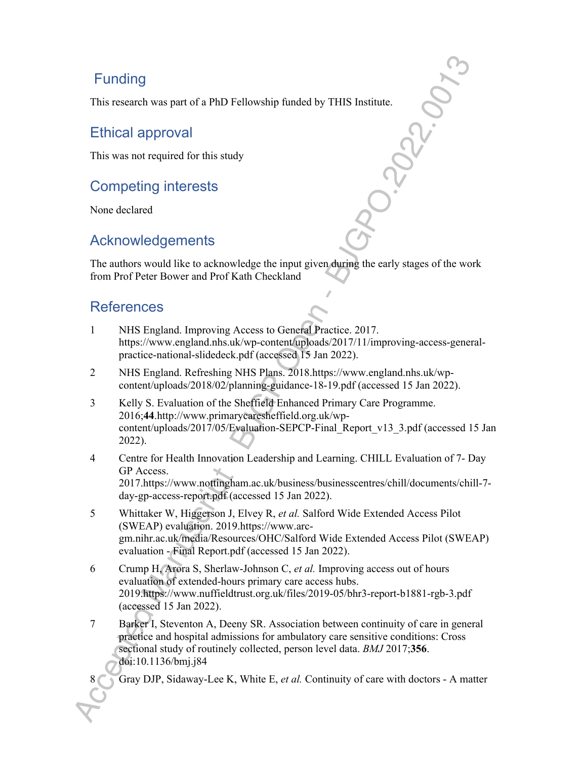### Funding

This research was part of a PhD Fellowship funded by THIS Institute.

### Ethical approval

This was not required for this study

### Competing interests

None declared

### Acknowledgements

The authors would like to acknowledge the input given during the early stages of the work from Prof Peter Bower and Prof Kath Checkland

#### **References**

- 1 NHS England. Improving Access to General Practice. 2017. https://www.england.nhs.uk/wp-content/uploads/2017/11/improving-access-generalpractice-national-slidedeck.pdf (accessed 15 Jan 2022).
- 2 NHS England. Refreshing NHS Plans. 2018.https://www.england.nhs.uk/wpcontent/uploads/2018/02/planning-guidance-18-19.pdf (accessed 15 Jan 2022).
- 3 Kelly S. Evaluation of the Sheffield Enhanced Primary Care Programme. 2016;**44**.http://www.primarycaresheffield.org.uk/wpcontent/uploads/2017/05/Evaluation-SEPCP-Final\_Report\_v13\_3.pdf (accessed 15 Jan 2022).
- 4 Centre for Health Innovation Leadership and Learning. CHILL Evaluation of 7- Day GP Access. 2017.https://www.nottingham.ac.uk/business/businesscentres/chill/documents/chill-7 day-gp-access-report.pdf (accessed 15 Jan 2022).
- 5 Whittaker W, Higgerson J, Elvey R, *et al.* Salford Wide Extended Access Pilot (SWEAP) evaluation. 2019.https://www.arcgm.nihr.ac.uk/media/Resources/OHC/Salford Wide Extended Access Pilot (SWEAP) evaluation - Final Report.pdf (accessed 15 Jan 2022).
- 6 Crump H, Arora S, Sherlaw-Johnson C, *et al.* Improving access out of hours evaluation of extended-hours primary care access hubs. 2019.https://www.nuffieldtrust.org.uk/files/2019-05/bhr3-report-b1881-rgb-3.pdf (accessed 15 Jan 2022).
- 7 Barker I, Steventon A, Deeny SR. Association between continuity of care in general practice and hospital admissions for ambulatory care sensitive conditions: Cross sectional study of routinely collected, person level data. *BMJ* 2017;**356**. doi:10.1136/bmj.j84
	- 8 Gray DJP, Sidaway-Lee K, White E, *et al.* Continuity of care with doctors A matter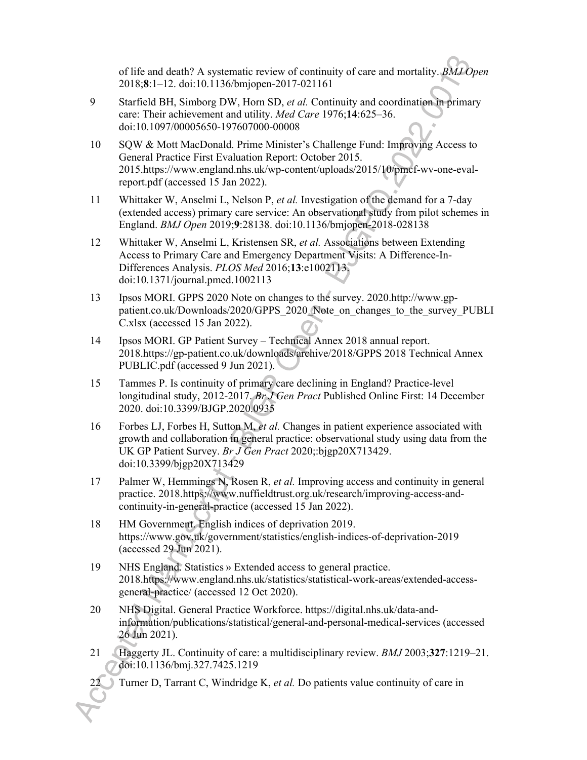of life and death? A systematic review of continuity of care and mortality. *BMJ Open* 2018;**8**:1–12. doi:10.1136/bmjopen-2017-021161

- 9 Starfield BH, Simborg DW, Horn SD, *et al.* Continuity and coordination in primary care: Their achievement and utility. *Med Care* 1976;**14**:625–36. doi:10.1097/00005650-197607000-00008
- 10 SQW & Mott MacDonald. Prime Minister's Challenge Fund: Improving Access to General Practice First Evaluation Report: October 2015. 2015.https://www.england.nhs.uk/wp-content/uploads/2015/10/pmcf-wv-one-evalreport.pdf (accessed 15 Jan 2022).
- 11 Whittaker W, Anselmi L, Nelson P, *et al.* Investigation of the demand for a 7-day (extended access) primary care service: An observational study from pilot schemes in England. *BMJ Open* 2019;**9**:28138. doi:10.1136/bmjopen-2018-028138
- 12 Whittaker W, Anselmi L, Kristensen SR, *et al.* Associations between Extending Access to Primary Care and Emergency Department Visits: A Difference-In-Differences Analysis. *PLOS Med* 2016;**13**:e1002113. doi:10.1371/journal.pmed.1002113
- 13 Ipsos MORI. GPPS 2020 Note on changes to the survey. 2020.http://www.gppatient.co.uk/Downloads/2020/GPPS\_2020 Note\_on\_changes\_to\_the\_survey\_PUBLI C.xlsx (accessed 15 Jan 2022).
- 14 Ipsos MORI. GP Patient Survey Technical Annex 2018 annual report. 2018.https://gp-patient.co.uk/downloads/archive/2018/GPPS 2018 Technical Annex PUBLIC.pdf (accessed 9 Jun 2021).
- 15 Tammes P. Is continuity of primary care declining in England? Practice-level longitudinal study, 2012-2017. *Br J Gen Pract* Published Online First: 14 December 2020. doi:10.3399/BJGP.2020.0935
- 16 Forbes LJ, Forbes H, Sutton M, *et al.* Changes in patient experience associated with growth and collaboration in general practice: observational study using data from the UK GP Patient Survey. *Br J Gen Pract* 2020;:bjgp20X713429. doi:10.3399/bjgp20X713429
- 17 Palmer W, Hemmings N, Rosen R, *et al.* Improving access and continuity in general practice. 2018.https://www.nuffieldtrust.org.uk/research/improving-access-andcontinuity-in-general-practice (accessed 15 Jan 2022).
- 18 HM Government. English indices of deprivation 2019. https://www.gov.uk/government/statistics/english-indices-of-deprivation-2019 (accessed 29 Jun 2021).
- 19 NHS England. Statistics » Extended access to general practice. 2018.https://www.england.nhs.uk/statistics/statistical-work-areas/extended-accessgeneral-practice/ (accessed 12 Oct 2020).
- 20 NHS Digital. General Practice Workforce. https://digital.nhs.uk/data-andinformation/publications/statistical/general-and-personal-medical-services (accessed 26 Jun 2021).
- 21 Haggerty JL. Continuity of care: a multidisciplinary review. *BMJ* 2003;**327**:1219–21. doi:10.1136/bmj.327.7425.1219
- Turner D, Tarrant C, Windridge K, *et al.* Do patients value continuity of care in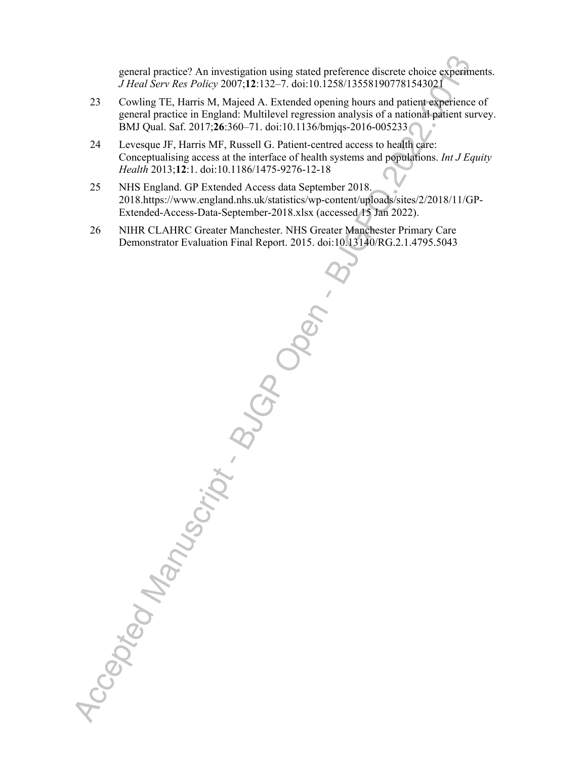general practice? An investigation using stated preference discrete choice experiments. *J Heal Serv Res Policy* 2007;**12**:132–7. doi:10.1258/135581907781543021

- 23 Cowling TE, Harris M, Majeed A. Extended opening hours and patient experience of general practice in England: Multilevel regression analysis of a national patient survey. BMJ Qual. Saf. 2017;**26**:360–71. doi:10.1136/bmjqs-2016-005233
- 24 Levesque JF, Harris MF, Russell G. Patient-centred access to health care: Conceptualising access at the interface of health systems and populations. *Int J Equity Health* 2013;**12**:1. doi:10.1186/1475-9276-12-18
- 25 NHS England. GP Extended Access data September 2018. 2018.https://www.england.nhs.uk/statistics/wp-content/uploads/sites/2/2018/11/GP-Extended-Access-Data-September-2018.xlsx (accessed 15 Jan 2022).
- 26 NIHR CLAHRC Greater Manchester. NHS Greater Manchester Primary Care Demonstrator Evaluation Final Report. 2015. doi:10.13140/RG.2.1.4795.5043

Accepted Manuscript . BUGD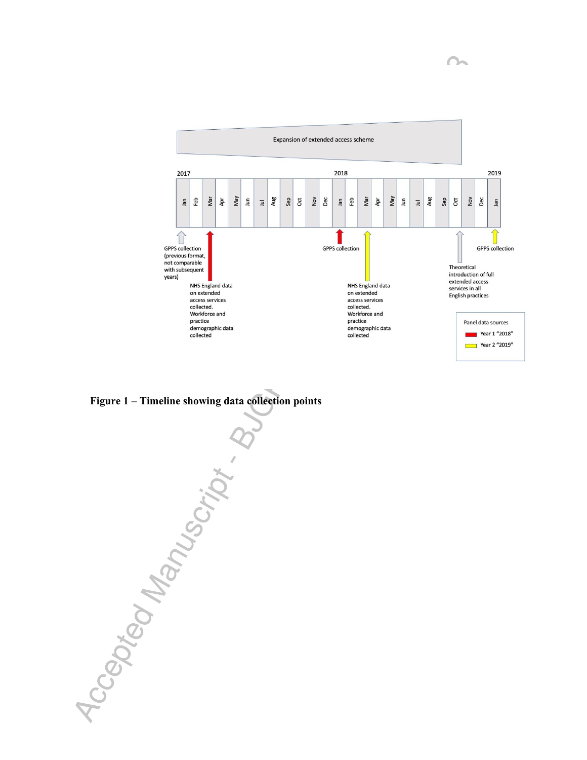

**Figure 1 – Timeline showing data collection points**<br>
and the street of points<br>
and the street of the street of the street of the street of the street of the street of the street of the street of the street of the street o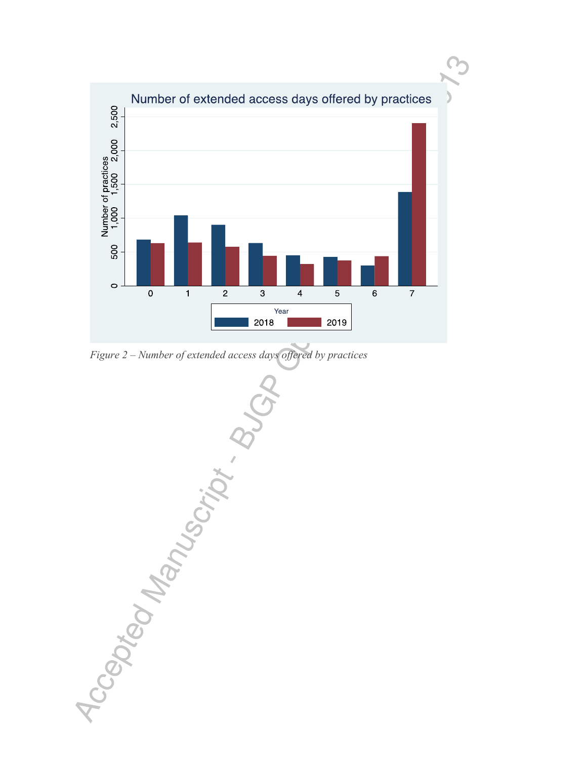

*Figure 2 – Number of extended access days offered by practices*

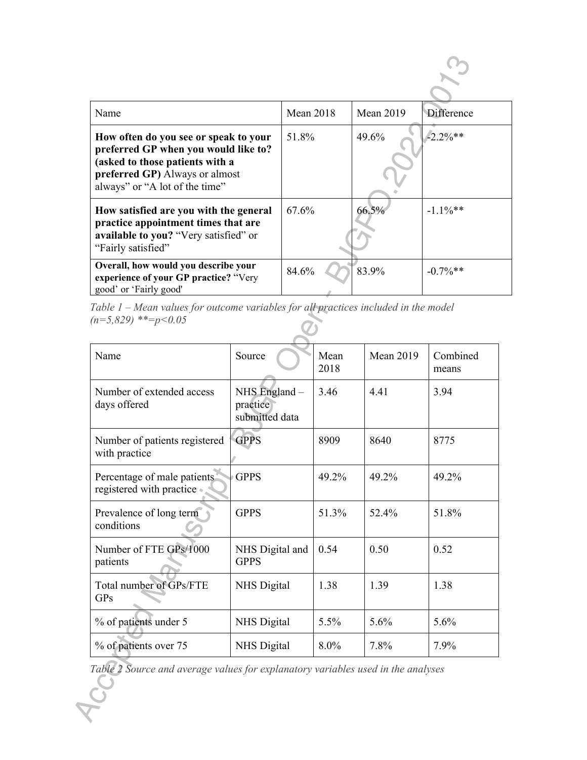| Name                                                                                                                                                                                 | <b>Mean 2018</b> | Mean 2019 | Difference  |
|--------------------------------------------------------------------------------------------------------------------------------------------------------------------------------------|------------------|-----------|-------------|
| How often do you see or speak to your<br>preferred GP when you would like to?<br>(asked to those patients with a<br>preferred GP) Always or almost<br>always" or "A lot of the time" | 51.8%            | 49.6%     | $-2.2\%**$  |
| How satisfied are you with the general<br>practice appointment times that are<br>available to you? "Very satisfied" or<br>"Fairly satisfied"                                         | 67.6%            | 66.5%     | $-1.1\%$ ** |
| Overall, how would you describe your<br>experience of your GP practice? "Very<br>good' or 'Fairly good'                                                                              | 84.6%            | 83.9%     | $-0.7\%$ ** |

*Table 1 – Mean values for outcome variables for all practices included in the model (n=5,829) \*\*=p<0.05* Ø

| Name                                                    | Source                                      | Mean<br>2018 | <b>Mean 2019</b> | Combined<br>means |
|---------------------------------------------------------|---------------------------------------------|--------------|------------------|-------------------|
| Number of extended access<br>days offered               | NHS England -<br>practice<br>submitted data | 3.46         | 4.41             | 3.94              |
| Number of patients registered<br>with practice          | <b>GPPS</b>                                 | 8909         | 8640             | 8775              |
| Percentage of male patients<br>registered with practice | <b>GPPS</b>                                 | 49.2%        | 49.2%            | 49.2%             |
| Prevalence of long term<br>conditions                   | <b>GPPS</b>                                 | 51.3%        | 52.4%            | 51.8%             |
| Number of FTE GPs/1000<br>patients                      | NHS Digital and<br><b>GPPS</b>              | 0.54         | 0.50             | 0.52              |
| Total number of GPs/FTE<br>GPs                          | <b>NHS Digital</b>                          | 1.38         | 1.39             | 1.38              |
| % of patients under 5                                   | <b>NHS</b> Digital                          | 5.5%         | 5.6%             | 5.6%              |
| % of patients over 75                                   | <b>NHS Digital</b>                          | $8.0\%$      | 7.8%             | 7.9%              |

*Table 2 Source and average values for explanatory variables used in the analyses*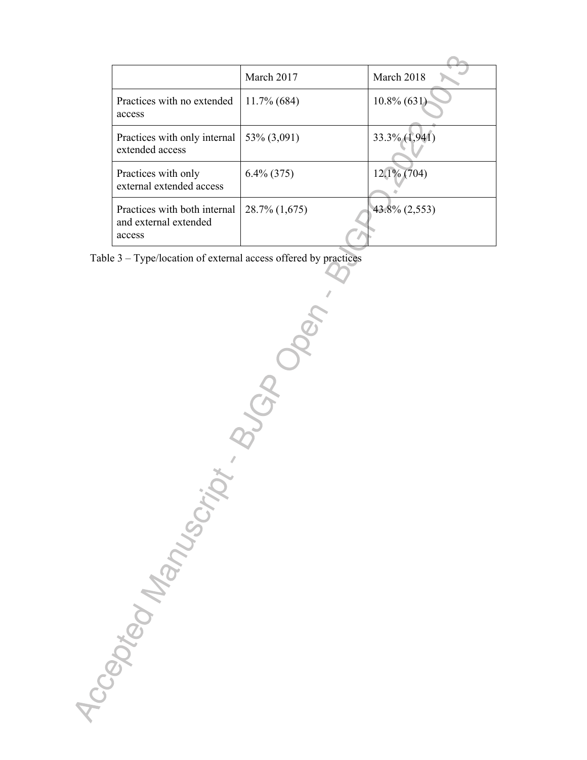|                                                                 | March 2017     | March 2018       |
|-----------------------------------------------------------------|----------------|------------------|
| Practices with no extended<br>access                            | $11.7\%$ (684) | $10.8\%$ (631)   |
| Practices with only internal<br>extended access                 | 53% (3,091)    | 33.3% (1,941)    |
| Practices with only<br>external extended access                 | $6.4\%$ (375)  | 12.1% (704)      |
| Practices with both internal<br>and external extended<br>access | 28.7% (1,675)  | $43.8\% (2,553)$ |

Table 3 – Type/location of external access offered by practices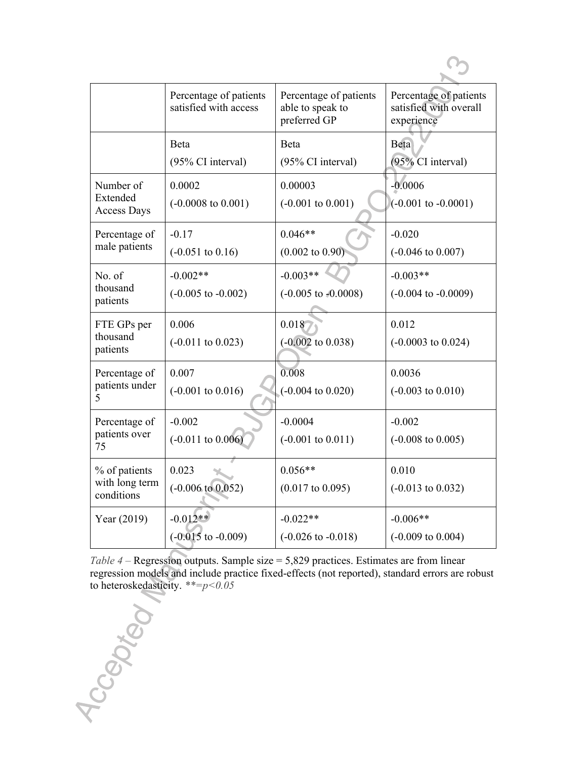|                                | Percentage of patients<br>satisfied with access | Percentage of patients<br>able to speak to<br>preferred GP | Percentage of patients<br>satisfied with overall<br>experience |
|--------------------------------|-------------------------------------------------|------------------------------------------------------------|----------------------------------------------------------------|
|                                | <b>Beta</b>                                     | Beta                                                       | <b>Beta</b>                                                    |
|                                | (95% CI interval)                               | (95% CI interval)                                          | (95% CI interval)                                              |
| Number of                      | 0.0002                                          | 0.00003                                                    | $-0.0006$                                                      |
| Extended<br><b>Access Days</b> | $(-0.0008 \text{ to } 0.001)$                   | $(-0.001 \text{ to } 0.001)$                               | $(-0.001 \text{ to } -0.0001)$                                 |
| Percentage of                  | $-0.17$                                         | $0.046**$                                                  | $-0.020$                                                       |
| male patients                  | $(-0.051 \text{ to } 0.16)$                     | $(0.002 \text{ to } 0.90)$                                 | $(-0.046 \text{ to } 0.007)$                                   |
| No. of                         | $-0.002**$                                      | $-0.003**$                                                 | $-0.003**$                                                     |
| thousand<br>patients           | $(-0.005 \text{ to } -0.002)$                   | $(-0.005 \text{ to } -0.0008)$                             | $(-0.004 \text{ to } -0.0009)$                                 |
| FTE GPs per                    | 0.006                                           | 0.018                                                      | 0.012                                                          |
| thousand<br>patients           | $(-0.011 \text{ to } 0.023)$                    | $(-0.002 \text{ to } 0.038)$                               | $(-0.0003 \text{ to } 0.024)$                                  |
| Percentage of                  | 0.007                                           | 0.008                                                      | 0.0036                                                         |
| patients under<br>5            | $(-0.001 \text{ to } 0.016)$                    | $(-0.004 \text{ to } 0.020)$                               | $(-0.003 \text{ to } 0.010)$                                   |
| Percentage of                  | $-0.002$                                        | $-0.0004$                                                  | $-0.002$                                                       |
| patients over<br>75            | $(-0.011 \text{ to } 0.006)$                    | $(-0.001 \text{ to } 0.011)$                               | $(-0.008 \text{ to } 0.005)$                                   |
| % of patients                  | 0.023                                           | $0.056**$                                                  | 0.010                                                          |
| with long term<br>conditions   | $(-0.006 \text{ to } 0.052)$                    | $(0.017 \text{ to } 0.095)$                                | $(-0.013 \text{ to } 0.032)$                                   |
| Year (2019)                    | $-0.012**$                                      | $-0.022**$                                                 | $-0.006**$                                                     |
|                                | $(-0.015 \text{ to } -0.009)$                   | $(-0.026 \text{ to } -0.018)$                              | $(-0.009 \text{ to } 0.004)$                                   |

 $\mathcal{L}$ 

*Table 4 –* Regression outputs. Sample size = 5,829 practices. Estimates are from linear regression models and include practice fixed-effects (not reported), standard errors are robust to heteroskedasticity. *\*\*=p<0.05*

Accepted